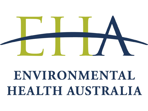

# ENVIRONMENTAL HEALTH AUSTRALIA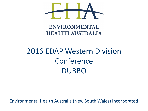

### **ENVIRONMENTAL HEALTH AUSTRALIA**

## 2016 EDAP Western Division Conference DUBBO

Environmental Health Australia (New South Wales) Incorporated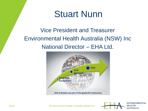## Stuart Nunn

Vice President and Treasurer Environmental Health Australia (NSW) Inc National Director – EHA Ltd.



2016 Environmental Health Australia (NSW) Inc

**ENVIRONMENTAL HEALTH AUSTRALIA**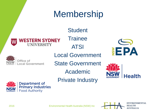#### Membership **Student Trainee ESTERN SYDNEY** UNIVERSITY ATSI **EPA** Local Government Office of State Government ocal Government Academic lealth Private Industry **Department of<br>Primary Industries Food Authority**

2016 Environmental Health Australia (NSW) Inc

**ENVIRONMENTAL HEALTH AUSTRALIA**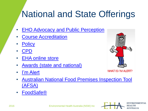#### National and State Offerings Home Food Safety Fire Safety Responsible Dog Ownership Kids Hygiene

- **[EHO Advocacy and Public Perception](http://www.eh.org.au/associations)**
- [Course Accreditation](http://www.eh.org.au/workforce/course-accreditation)
- [Policy](http://www.eh.org.au/about-us/national-policies)
- [CPD](http://www.eh.org.au/membership-information/cpd)
- [EHA online store](http://www.ehansw.org.au)
- [Awards \(state and national\)](http://www.ehansw.org.au/about-us/about-eha-nsw-inc/awards)
- [I'm Alert](http://www.imalert.com.au/foodsafety/index.php)



ENVIRONMENTAL

 $T_{\rm max}$   $T_{\rm max}$  of  $T_{\rm max}$  and logo will allow  $T_{\rm max}$ 

**HEALTH** 

- **Australian National Food Premises Inspection Tool** [\(AFSA\)](http://www.eh.org.au/resources/afsa) **within their local authority. I'M ALERT Food Safety enables a consistent and efficient delivery of Food Safety Training.**
- [FoodSafe®](http://www.eh.org.au/resources/foodsafe)

2016 Environmental Health Australia (NSW) Inc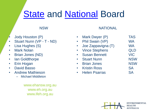## [State](http://www.ehansw.org.au/about-us/contact-us) and [National](http://www.eh.org.au/about-us/national-board) Board

#### NSW

- Jody Houston (P)
- Stuart Nunn (VP T ND)
- Lisa Hughes (S)
- Mark Nolan
- Brian Jones (ND)
- Ian Goldthorpe
- Erin Hogan
- David Basso
- Andrew Mathieson
	- Michael Middleton

www.ehansw.org.au www.eh.org.au www.ifeh.org.au

#### Mark Dwyer (P) TAS • Phil Swain (VP) WA • Joe Zappavigna (T) WA • Vince Stephens QLD • Susan Bennett VIC • Stuart Nunn NSW • Brian Jones NSW • Kristin Ross SA

**NATIONAL** 

• Helen Psarras SA

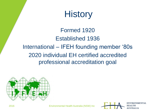

Formed 1920 Established 1936 International – IFEH founding member '80s 2020 individual EH certified accredited professional accreditation goal



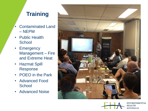### **Training**

- Contaminated Land – NEPM
- Public Health **School**
- Emergency Management – Fire and Extreme Heat
- Hazmat Spill Response
- POEO in the Park
- Advanced Food **School**
- Advanced Noise



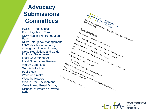### **Advocacy Submissions Committees**

- POEO Regulations
- Food Regulation Forum
- **NSW Health Skin Penetration** Forum
- **NSW Emergency Management**
- NSW Health emergency management online training
- Noise Regulations and Guide for Local Government
- Local Government Act
- Local Government Review
- Allergy Committee
- SAI Global Food
- Public Health
- Woodfire Smoke
- Woodfire Heaters
- Smoke Free Environment
- Coles Naked Bread Display
- Land



**ENVIRONMENTAL** 

**HEALTH AUSTRALIA**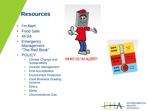### **Resources**

- I'm Alert
- Food Safe
- AFSA
- Emergency Management "The Red Book"
- POLICY
	- Climate Change and **Sustainability**
	- Disaster Management
	- EHA Accreditation
	- Environment Protection
	- Food Business Grading Scheme
	- Ethics
	- Ebola
	- Unconventional Gas



#### WHAT IS I'M ALERT?



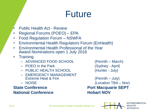## Future

- Public Health Act Review
- Regional Forums (POEO) EPA
- Food Regulation Forum NSWFA
- Environmental Health Regulators Forum (EnHealth)
- Environmental Health Professional of the Year Award Nominations open 1 July 2016
- Training
	- ADVANCED FOOD SCHOOL (Penrith March)
	- POEO in the Park (Sydney April)
	- PUBLIC HEALTH SCHOOL (Hunter July)
	- EMERGENCY MANAGEMENT Extreme Heat & Fire (Penrith – July)
	-

#### **State Conference Port Macquarie SEPT National Conference <b>Hobart NOV**

– NOISE (Location TBA – Nov)

**ENVIRONMENTAL** 

**AUSTRALIA** 

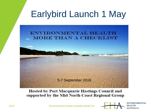## Earlybird Launch 1 May



**Hosted by Port Macquarie Hastings Council and** supported by the Mid North Coast Regional Group



2015 Environmental Health Australia (NSW) Inc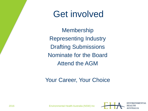## Get involved

**Membership** Representing Industry Drafting Submissions Nominate for the Board Attend the AGM

### Your Career, Your Choice



2016 Environmental Health Australia (NSW) Inc